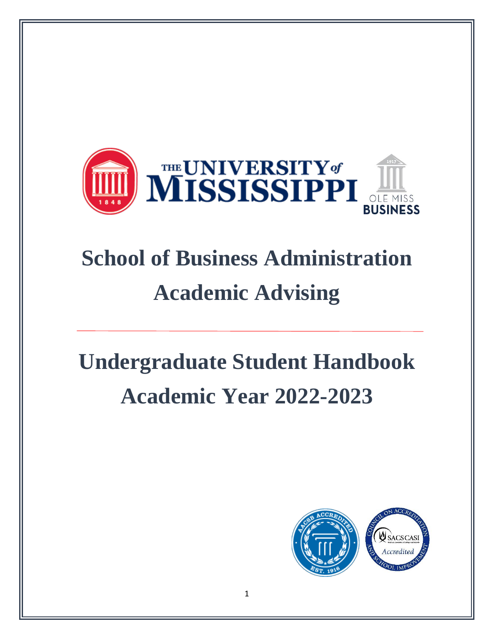

# **School of Business Administration Academic Advising**

# **Undergraduate Student Handbook Academic Year 2022-2023**

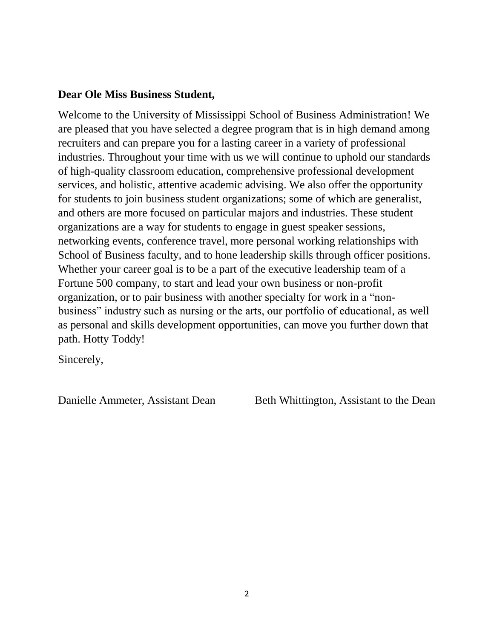### **Dear Ole Miss Business Student,**

Welcome to the University of Mississippi School of Business Administration! We are pleased that you have selected a degree program that is in high demand among recruiters and can prepare you for a lasting career in a variety of professional industries. Throughout your time with us we will continue to uphold our standards of high-quality classroom education, comprehensive professional development services, and holistic, attentive academic advising. We also offer the opportunity for students to join business student organizations; some of which are generalist, and others are more focused on particular majors and industries. These student organizations are a way for students to engage in guest speaker sessions, networking events, conference travel, more personal working relationships with School of Business faculty, and to hone leadership skills through officer positions. Whether your career goal is to be a part of the executive leadership team of a Fortune 500 company, to start and lead your own business or non-profit organization, or to pair business with another specialty for work in a "nonbusiness" industry such as nursing or the arts, our portfolio of educational, as well as personal and skills development opportunities, can move you further down that path. Hotty Toddy!

Sincerely,

Danielle Ammeter, Assistant Dean Beth Whittington, Assistant to the Dean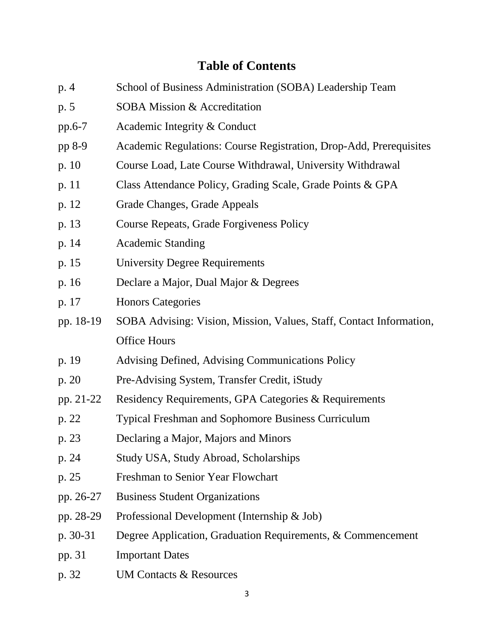## **Table of Contents**

- p. 4 School of Business Administration (SOBA) Leadership Team
- p. 5 SOBA Mission & Accreditation
- pp.6-7 Academic Integrity & Conduct
- pp 8-9 Academic Regulations: Course Registration, Drop-Add, Prerequisites
- p. 10 Course Load, Late Course Withdrawal, University Withdrawal
- p. 11 Class Attendance Policy, Grading Scale, Grade Points & GPA
- p. 12 Grade Changes, Grade Appeals
- p. 13 Course Repeats, Grade Forgiveness Policy
- p. 14 Academic Standing
- p. 15 University Degree Requirements
- p. 16 Declare a Major, Dual Major & Degrees
- p. 17 Honors Categories
- pp. 18-19 SOBA Advising: Vision, Mission, Values, Staff, Contact Information, Office Hours
- p. 19 Advising Defined, Advising Communications Policy
- p. 20 Pre-Advising System, Transfer Credit, iStudy
- pp. 21-22 Residency Requirements, GPA Categories & Requirements
- p. 22 Typical Freshman and Sophomore Business Curriculum
- p. 23 Declaring a Major, Majors and Minors
- p. 24 Study USA, Study Abroad, Scholarships
- p. 25 Freshman to Senior Year Flowchart
- pp. 26-27 Business Student Organizations
- pp. 28-29 Professional Development (Internship & Job)
- p. 30-31 Degree Application, Graduation Requirements, & Commencement
- pp. 31 Important Dates
- p. 32 UM Contacts & Resources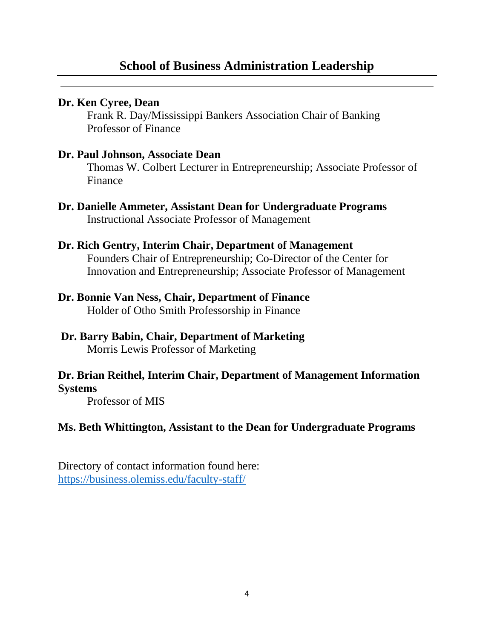## **Dr. Ken Cyree, Dean**

Frank R. Day/Mississippi Bankers Association Chair of Banking Professor of Finance

## **Dr. Paul Johnson, Associate Dean**

Thomas W. Colbert Lecturer in Entrepreneurship; Associate Professor of Finance

**Dr. Danielle Ammeter, Assistant Dean for Undergraduate Programs** Instructional Associate Professor of Management

## **Dr. Rich Gentry, Interim Chair, Department of Management**

Founders Chair of Entrepreneurship; Co-Director of the Center for Innovation and Entrepreneurship; Associate Professor of Management

## **Dr. Bonnie Van Ness, Chair, Department of Finance**

Holder of Otho Smith Professorship in Finance

#### **Dr. Barry Babin, Chair, Department of Marketing** Morris Lewis Professor of Marketing

## **Dr. Brian Reithel, Interim Chair, Department of Management Information**

**Systems**

Professor of MIS

## **Ms. Beth Whittington, Assistant to the Dean for Undergraduate Programs**

Directory of contact information found here: <https://business.olemiss.edu/faculty-staff/>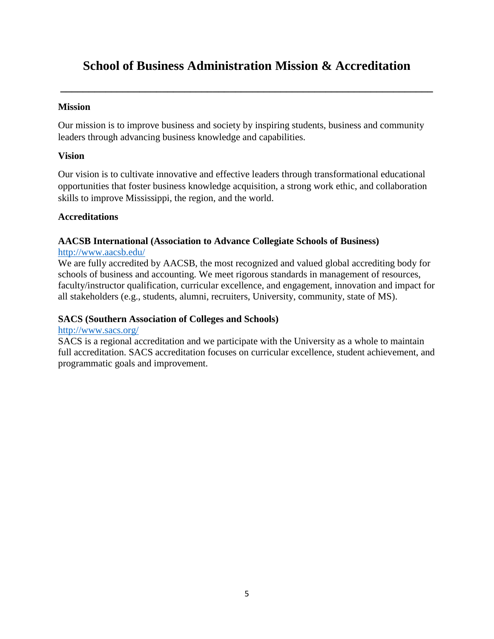## **School of Business Administration Mission & Accreditation**

**\_\_\_\_\_\_\_\_\_\_\_\_\_\_\_\_\_\_\_\_\_\_\_\_\_\_\_\_\_\_\_\_\_\_\_\_\_\_\_\_\_\_\_\_\_\_\_\_\_\_\_\_\_\_\_\_\_\_\_\_\_\_\_\_\_\_**

#### **Mission**

Our mission is to improve business and society by inspiring students, business and community leaders through advancing business knowledge and capabilities.

#### **Vision**

Our vision is to cultivate innovative and effective leaders through transformational educational opportunities that foster business knowledge acquisition, a strong work ethic, and collaboration skills to improve Mississippi, the region, and the world.

#### **Accreditations**

#### **AACSB International (Association to Advance Collegiate Schools of Business)**

#### <http://www.aacsb.edu/>

We are fully accredited by AACSB, the most recognized and valued global accrediting body for schools of business and accounting. We meet rigorous standards in management of resources, faculty/instructor qualification, curricular excellence, and engagement, innovation and impact for all stakeholders (e.g., students, alumni, recruiters, University, community, state of MS).

#### **SACS (Southern Association of Colleges and Schools)**

#### <http://www.sacs.org/>

SACS is a regional accreditation and we participate with the University as a whole to maintain full accreditation. SACS accreditation focuses on curricular excellence, student achievement, and programmatic goals and improvement.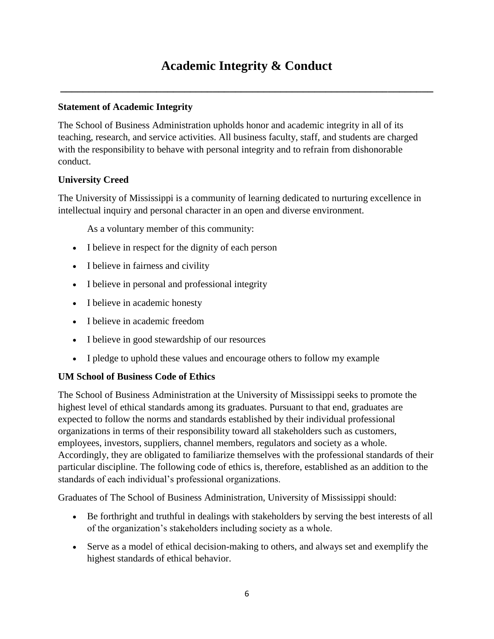## **Academic Integrity & Conduct**

**\_\_\_\_\_\_\_\_\_\_\_\_\_\_\_\_\_\_\_\_\_\_\_\_\_\_\_\_\_\_\_\_\_\_\_\_\_\_\_\_\_\_\_\_\_\_\_\_\_\_\_\_\_\_\_\_\_\_\_\_\_\_\_\_\_\_**

#### **Statement of Academic Integrity**

The School of Business Administration upholds honor and academic integrity in all of its teaching, research, and service activities. All business faculty, staff, and students are charged with the responsibility to behave with personal integrity and to refrain from dishonorable conduct.

#### **University Creed**

The University of Mississippi is a community of learning dedicated to nurturing excellence in intellectual inquiry and personal character in an open and diverse environment.

As a voluntary member of this community:

- I believe in respect for the dignity of each person
- I believe in fairness and civility
- I believe in personal and professional integrity
- I believe in academic honesty
- I believe in academic freedom
- I believe in good stewardship of our resources
- I pledge to uphold these values and encourage others to follow my example

#### **UM School of Business Code of Ethics**

The School of Business Administration at the University of Mississippi seeks to promote the highest level of ethical standards among its graduates. Pursuant to that end, graduates are expected to follow the norms and standards established by their individual professional organizations in terms of their responsibility toward all stakeholders such as customers, employees, investors, suppliers, channel members, regulators and society as a whole. Accordingly, they are obligated to familiarize themselves with the professional standards of their particular discipline. The following code of ethics is, therefore, established as an addition to the standards of each individual's professional organizations.

Graduates of The School of Business Administration, University of Mississippi should:

- Be forthright and truthful in dealings with stakeholders by serving the best interests of all of the organization's stakeholders including society as a whole.
- Serve as a model of ethical decision-making to others, and always set and exemplify the highest standards of ethical behavior.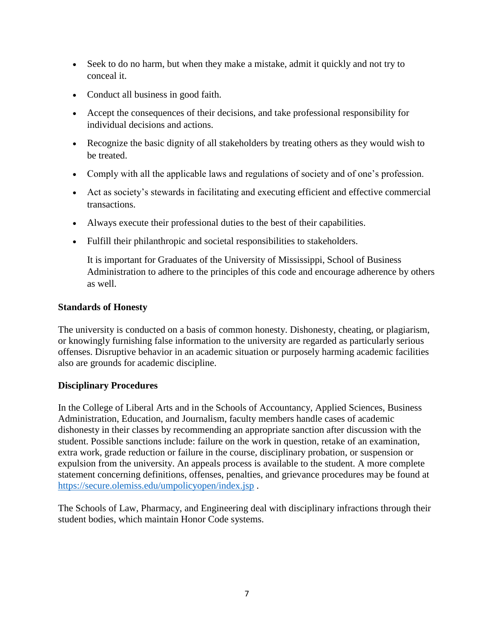- Seek to do no harm, but when they make a mistake, admit it quickly and not try to conceal it.
- Conduct all business in good faith.
- Accept the consequences of their decisions, and take professional responsibility for individual decisions and actions.
- Recognize the basic dignity of all stakeholders by treating others as they would wish to be treated.
- Comply with all the applicable laws and regulations of society and of one's profession.
- Act as society's stewards in facilitating and executing efficient and effective commercial transactions.
- Always execute their professional duties to the best of their capabilities.
- Fulfill their philanthropic and societal responsibilities to stakeholders.

It is important for Graduates of the University of Mississippi, School of Business Administration to adhere to the principles of this code and encourage adherence by others as well.

#### **Standards of Honesty**

The university is conducted on a basis of common honesty. Dishonesty, cheating, or plagiarism, or knowingly furnishing false information to the university are regarded as particularly serious offenses. Disruptive behavior in an academic situation or purposely harming academic facilities also are grounds for academic discipline.

#### **Disciplinary Procedures**

In the College of Liberal Arts and in the Schools of Accountancy, Applied Sciences, Business Administration, Education, and Journalism, faculty members handle cases of academic dishonesty in their classes by recommending an appropriate sanction after discussion with the student. Possible sanctions include: failure on the work in question, retake of an examination, extra work, grade reduction or failure in the course, disciplinary probation, or suspension or expulsion from the university. An appeals process is available to the student. A more complete statement concerning definitions, offenses, penalties, and grievance procedures may be found at <https://secure.olemiss.edu/umpolicyopen/index.jsp> .

The Schools of Law, Pharmacy, and Engineering deal with disciplinary infractions through their student bodies, which maintain Honor Code systems.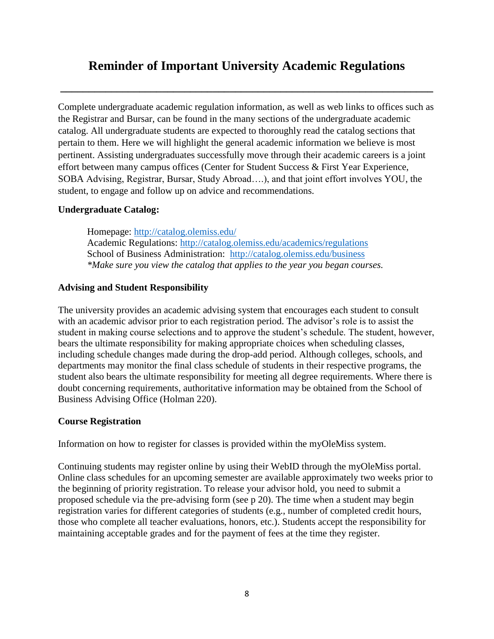## **Reminder of Important University Academic Regulations**

**\_\_\_\_\_\_\_\_\_\_\_\_\_\_\_\_\_\_\_\_\_\_\_\_\_\_\_\_\_\_\_\_\_\_\_\_\_\_\_\_\_\_\_\_\_\_\_\_\_\_\_\_\_\_\_\_\_\_\_\_\_\_\_\_\_\_**

Complete undergraduate academic regulation information, as well as web links to offices such as the Registrar and Bursar, can be found in the many sections of the undergraduate academic catalog. All undergraduate students are expected to thoroughly read the catalog sections that pertain to them. Here we will highlight the general academic information we believe is most pertinent. Assisting undergraduates successfully move through their academic careers is a joint effort between many campus offices (Center for Student Success & First Year Experience, SOBA Advising, Registrar, Bursar, Study Abroad….), and that joint effort involves YOU, the student, to engage and follow up on advice and recommendations.

#### **Undergraduate Catalog:**

Homepage:<http://catalog.olemiss.edu/> Academic Regulations:<http://catalog.olemiss.edu/academics/regulations> School of Business Administration: <http://catalog.olemiss.edu/business> *\*Make sure you view the catalog that applies to the year you began courses.*

#### **Advising and Student Responsibility**

The university provides an academic advising system that encourages each student to consult with an academic advisor prior to each registration period. The advisor's role is to assist the student in making course selections and to approve the student's schedule. The student, however, bears the ultimate responsibility for making appropriate choices when scheduling classes, including schedule changes made during the drop-add period. Although colleges, schools, and departments may monitor the final class schedule of students in their respective programs, the student also bears the ultimate responsibility for meeting all degree requirements. Where there is doubt concerning requirements, authoritative information may be obtained from the School of Business Advising Office (Holman 220).

#### **Course Registration**

Information on how to register for classes is provided within the myOleMiss system.

Continuing students may register online by using their WebID through the myOleMiss portal. Online class schedules for an upcoming semester are available approximately two weeks prior to the beginning of priority registration. To release your advisor hold, you need to submit a proposed schedule via the pre-advising form (see p 20). The time when a student may begin registration varies for different categories of students (e.g., number of completed credit hours, those who complete all teacher evaluations, honors, etc.). Students accept the responsibility for maintaining acceptable grades and for the payment of fees at the time they register.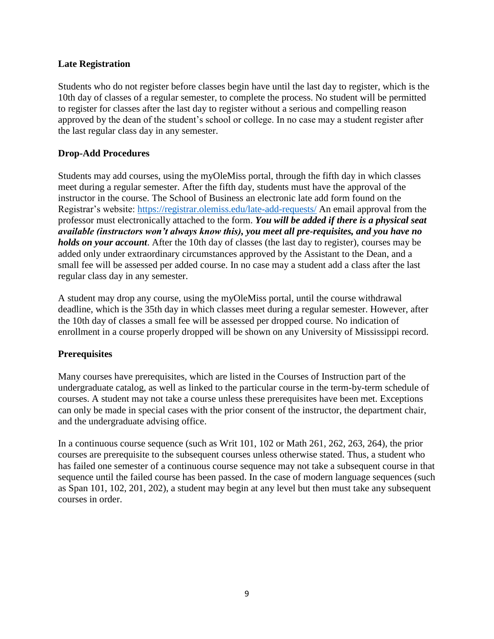#### **Late Registration**

Students who do not register before classes begin have until the last day to register, which is the 10th day of classes of a regular semester, to complete the process. No student will be permitted to register for classes after the last day to register without a serious and compelling reason approved by the dean of the student's school or college. In no case may a student register after the last regular class day in any semester.

#### **Drop-Add Procedures**

Students may add courses, using the myOleMiss portal, through the fifth day in which classes meet during a regular semester. After the fifth day, students must have the approval of the instructor in the course. The School of Business an electronic late add form found on the Registrar's website:<https://registrar.olemiss.edu/late-add-requests/> An email approval from the professor must electronically attached to the form. *You will be added if there is a physical seat available (instructors won't always know this), you meet all pre-requisites, and you have no holds on your account*. After the 10th day of classes (the last day to register), courses may be added only under extraordinary circumstances approved by the Assistant to the Dean, and a small fee will be assessed per added course. In no case may a student add a class after the last regular class day in any semester.

A student may drop any course, using the myOleMiss portal, until the course withdrawal deadline, which is the 35th day in which classes meet during a regular semester. However, after the 10th day of classes a small fee will be assessed per dropped course. No indication of enrollment in a course properly dropped will be shown on any University of Mississippi record.

#### **Prerequisites**

Many courses have prerequisites, which are listed in the Courses of Instruction part of the undergraduate catalog, as well as linked to the particular course in the term-by-term schedule of courses. A student may not take a course unless these prerequisites have been met. Exceptions can only be made in special cases with the prior consent of the instructor, the department chair, and the undergraduate advising office.

In a continuous course sequence (such as Writ 101, 102 or Math 261, 262, 263, 264), the prior courses are prerequisite to the subsequent courses unless otherwise stated. Thus, a student who has failed one semester of a continuous course sequence may not take a subsequent course in that sequence until the failed course has been passed. In the case of modern language sequences (such as Span 101, 102, 201, 202), a student may begin at any level but then must take any subsequent courses in order.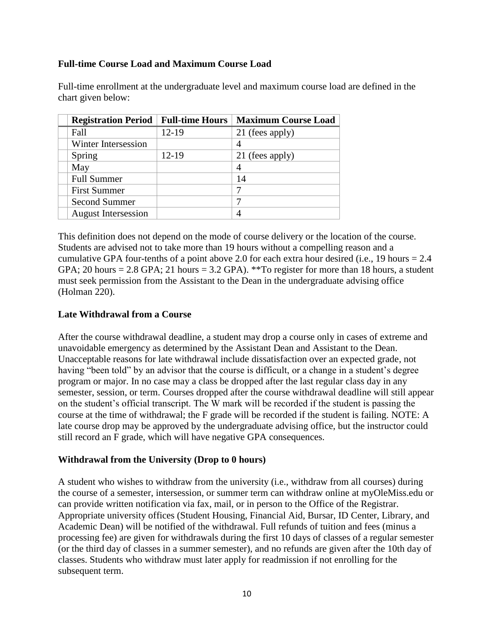#### **Full-time Course Load and Maximum Course Load**

| <b>Registration Period   Full-time Hours</b> |       | <b>Maximum Course Load</b> |
|----------------------------------------------|-------|----------------------------|
| Fall                                         | 12-19 | 21 (fees apply)            |
| Winter Intersession                          |       |                            |
| Spring                                       | 12-19 | 21 (fees apply)            |
| May                                          |       |                            |
| <b>Full Summer</b>                           |       | 14                         |
| <b>First Summer</b>                          |       |                            |
| <b>Second Summer</b>                         |       | 7                          |
| <b>August Intersession</b>                   |       | 4                          |

Full-time enrollment at the undergraduate level and maximum course load are defined in the chart given below:

This definition does not depend on the mode of course delivery or the location of the course. Students are advised not to take more than 19 hours without a compelling reason and a cumulative GPA four-tenths of a point above 2.0 for each extra hour desired (i.e., 19 hours  $= 2.4$ ) GPA; 20 hours = 2.8 GPA; 21 hours = 3.2 GPA). \*\*To register for more than 18 hours, a student must seek permission from the Assistant to the Dean in the undergraduate advising office (Holman 220).

#### **Late Withdrawal from a Course**

After the course withdrawal deadline, a student may drop a course only in cases of extreme and unavoidable emergency as determined by the Assistant Dean and Assistant to the Dean. Unacceptable reasons for late withdrawal include dissatisfaction over an expected grade, not having "been told" by an advisor that the course is difficult, or a change in a student's degree program or major. In no case may a class be dropped after the last regular class day in any semester, session, or term. Courses dropped after the course withdrawal deadline will still appear on the student's official transcript. The W mark will be recorded if the student is passing the course at the time of withdrawal; the F grade will be recorded if the student is failing. NOTE: A late course drop may be approved by the undergraduate advising office, but the instructor could still record an F grade, which will have negative GPA consequences.

#### **Withdrawal from the University (Drop to 0 hours)**

A student who wishes to withdraw from the university (i.e., withdraw from all courses) during the course of a semester, intersession, or summer term can withdraw online at myOleMiss.edu or can provide written notification via fax, mail, or in person to the Office of the Registrar. Appropriate university offices (Student Housing, Financial Aid, Bursar, ID Center, Library, and Academic Dean) will be notified of the withdrawal. Full refunds of tuition and fees (minus a processing fee) are given for withdrawals during the first 10 days of classes of a regular semester (or the third day of classes in a summer semester), and no refunds are given after the 10th day of classes. Students who withdraw must later apply for readmission if not enrolling for the subsequent term.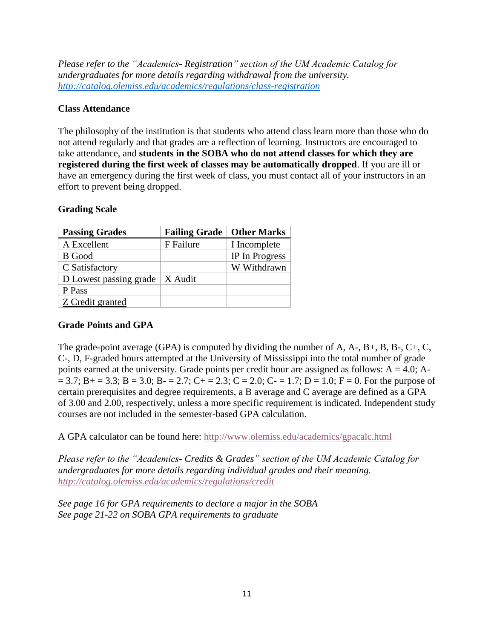*Please refer to the "Academics- Registration" section of the UM Academic Catalog for undergraduates for more details regarding withdrawal from the university. <http://catalog.olemiss.edu/academics/regulations/class-registration>*

#### **Class Attendance**

The philosophy of the institution is that students who attend class learn more than those who do not attend regularly and that grades are a reflection of learning. Instructors are encouraged to take attendance, and **students in the SOBA who do not attend classes for which they are registered during the first week of classes may be automatically dropped**. If you are ill or have an emergency during the first week of class, you must contact all of your instructors in an effort to prevent being dropped.

#### **Grading Scale**

| <b>Passing Grades</b>  | <b>Failing Grade</b> | <b>Other Marks</b> |
|------------------------|----------------------|--------------------|
| A Excellent            | F Failure            | I Incomplete       |
| <b>B</b> Good          |                      | IP In Progress     |
| C Satisfactory         |                      | W Withdrawn        |
| D Lowest passing grade | $\vert$ X Audit      |                    |
| P Pass                 |                      |                    |
| Z Credit granted       |                      |                    |

#### **Grade Points and GPA**

The grade-point average (GPA) is computed by dividing the number of A, A-, B+, B, B-, C+, C, C-, D, F-graded hours attempted at the University of Mississippi into the total number of grade points earned at the university. Grade points per credit hour are assigned as follows:  $A = 4.0$ ;  $A$ - $= 3.7$ ; B + = 3.3; B = 3.0; B - = 2.7; C + = 2.3; C = 2.0; C - = 1.7; D = 1.0; F = 0. For the purpose of certain prerequisites and degree requirements, a B average and C average are defined as a GPA of 3.00 and 2.00, respectively, unless a more specific requirement is indicated. Independent study courses are not included in the semester-based GPA calculation.

A GPA calculator can be found here:<http://www.olemiss.edu/academics/gpacalc.html>

*Please refer to the "Academics- Credits & Grades" section of the UM Academic Catalog for undergraduates for more details regarding individual grades and their meaning. <http://catalog.olemiss.edu/academics/regulations/credit>*

*See page 16 for GPA requirements to declare a major in the SOBA See page 21-22 on SOBA GPA requirements to graduate*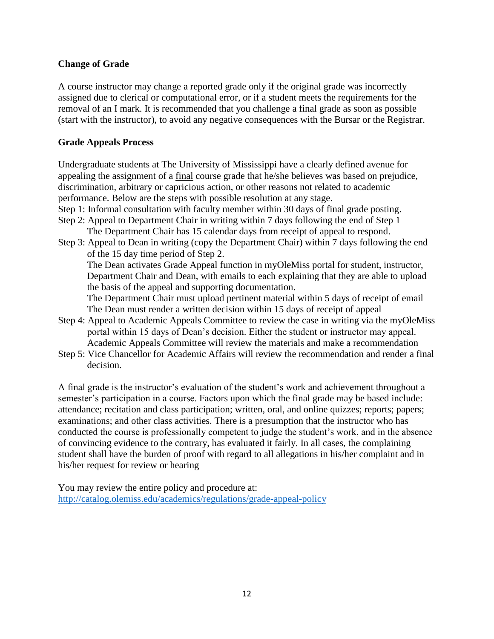#### **Change of Grade**

A course instructor may change a reported grade only if the original grade was incorrectly assigned due to clerical or computational error, or if a student meets the requirements for the removal of an I mark. It is recommended that you challenge a final grade as soon as possible (start with the instructor), to avoid any negative consequences with the Bursar or the Registrar.

#### **Grade Appeals Process**

Undergraduate students at The University of Mississippi have a clearly defined avenue for appealing the assignment of a final course grade that he/she believes was based on prejudice, discrimination, arbitrary or capricious action, or other reasons not related to academic performance. Below are the steps with possible resolution at any stage.

Step 1: Informal consultation with faculty member within 30 days of final grade posting.

- Step 2: Appeal to Department Chair in writing within 7 days following the end of Step 1 The Department Chair has 15 calendar days from receipt of appeal to respond.
- Step 3: Appeal to Dean in writing (copy the Department Chair) within 7 days following the end of the 15 day time period of Step 2.

The Dean activates Grade Appeal function in myOleMiss portal for student, instructor, Department Chair and Dean, with emails to each explaining that they are able to upload the basis of the appeal and supporting documentation.

The Department Chair must upload pertinent material within 5 days of receipt of email The Dean must render a written decision within 15 days of receipt of appeal

- Step 4: Appeal to Academic Appeals Committee to review the case in writing via the myOleMiss portal within 15 days of Dean's decision. Either the student or instructor may appeal. Academic Appeals Committee will review the materials and make a recommendation
- Step 5: Vice Chancellor for Academic Affairs will review the recommendation and render a final decision.

A final grade is the instructor's evaluation of the student's work and achievement throughout a semester's participation in a course. Factors upon which the final grade may be based include: attendance; recitation and class participation; written, oral, and online quizzes; reports; papers; examinations; and other class activities. There is a presumption that the instructor who has conducted the course is professionally competent to judge the student's work, and in the absence of convincing evidence to the contrary, has evaluated it fairly. In all cases, the complaining student shall have the burden of proof with regard to all allegations in his/her complaint and in his/her request for review or hearing

You may review the entire policy and procedure at: <http://catalog.olemiss.edu/academics/regulations/grade-appeal-policy>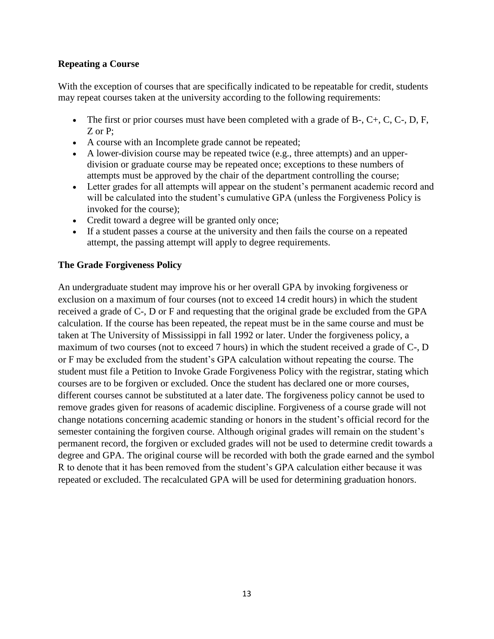#### **Repeating a Course**

With the exception of courses that are specifically indicated to be repeatable for credit, students may repeat courses taken at the university according to the following requirements:

- The first or prior courses must have been completed with a grade of B-,  $C_{+}$ ,  $C_{-}$ ,  $D_{+}$ ,  $F_{+}$ , Z or P:
- A course with an Incomplete grade cannot be repeated;
- A lower-division course may be repeated twice (e.g., three attempts) and an upperdivision or graduate course may be repeated once; exceptions to these numbers of attempts must be approved by the chair of the department controlling the course;
- Letter grades for all attempts will appear on the student's permanent academic record and will be calculated into the student's cumulative GPA (unless the Forgiveness Policy is invoked for the course);
- Credit toward a degree will be granted only once;
- If a student passes a course at the university and then fails the course on a repeated attempt, the passing attempt will apply to degree requirements.

#### **The Grade Forgiveness Policy**

An undergraduate student may improve his or her overall GPA by invoking forgiveness or exclusion on a maximum of four courses (not to exceed 14 credit hours) in which the student received a grade of C-, D or F and requesting that the original grade be excluded from the GPA calculation. If the course has been repeated, the repeat must be in the same course and must be taken at The University of Mississippi in fall 1992 or later. Under the forgiveness policy, a maximum of two courses (not to exceed 7 hours) in which the student received a grade of C-, D or F may be excluded from the student's GPA calculation without repeating the course. The student must file a Petition to Invoke Grade Forgiveness Policy with the registrar, stating which courses are to be forgiven or excluded. Once the student has declared one or more courses, different courses cannot be substituted at a later date. The forgiveness policy cannot be used to remove grades given for reasons of academic discipline. Forgiveness of a course grade will not change notations concerning academic standing or honors in the student's official record for the semester containing the forgiven course. Although original grades will remain on the student's permanent record, the forgiven or excluded grades will not be used to determine credit towards a degree and GPA. The original course will be recorded with both the grade earned and the symbol R to denote that it has been removed from the student's GPA calculation either because it was repeated or excluded. The recalculated GPA will be used for determining graduation honors.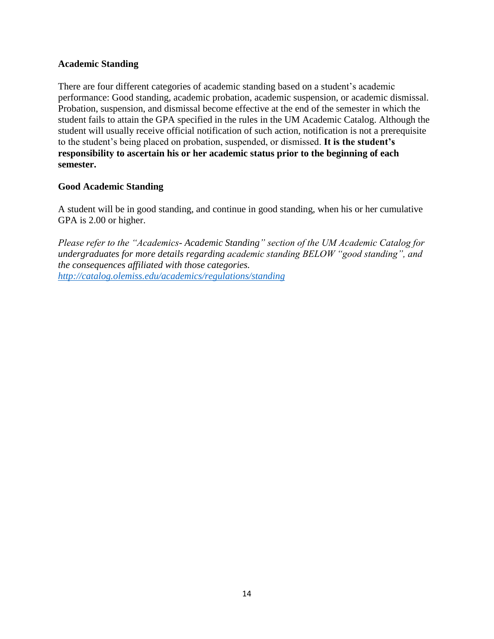#### **Academic Standing**

There are four different categories of academic standing based on a student's academic performance: Good standing, academic probation, academic suspension, or academic dismissal. Probation, suspension, and dismissal become effective at the end of the semester in which the student fails to attain the GPA specified in the rules in the UM Academic Catalog. Although the student will usually receive official notification of such action, notification is not a prerequisite to the student's being placed on probation, suspended, or dismissed. **It is the student's responsibility to ascertain his or her academic status prior to the beginning of each semester.**

#### **Good Academic Standing**

A student will be in good standing, and continue in good standing, when his or her cumulative GPA is 2.00 or higher.

*Please refer to the "Academics- Academic Standing" section of the UM Academic Catalog for undergraduates for more details regarding academic standing BELOW "good standing", and the consequences affiliated with those categories. <http://catalog.olemiss.edu/academics/regulations/standing>*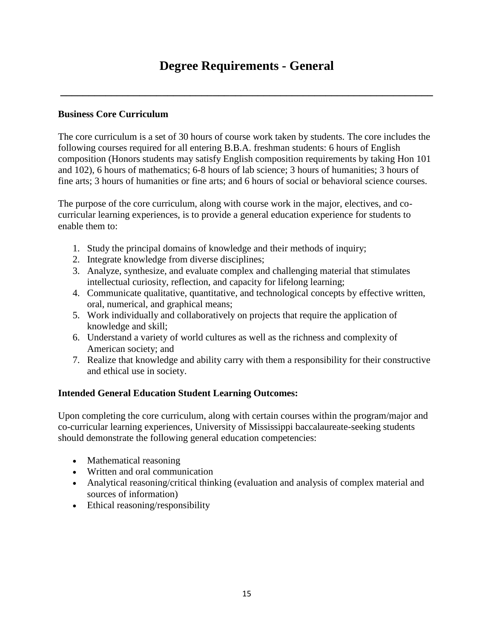**\_\_\_\_\_\_\_\_\_\_\_\_\_\_\_\_\_\_\_\_\_\_\_\_\_\_\_\_\_\_\_\_\_\_\_\_\_\_\_\_\_\_\_\_\_\_\_\_\_\_\_\_\_\_\_\_\_\_\_\_\_\_\_\_\_\_**

#### **Business Core Curriculum**

The core curriculum is a set of 30 hours of course work taken by students. The core includes the following courses required for all entering B.B.A. freshman students: 6 hours of English composition (Honors students may satisfy English composition requirements by taking Hon 101 and 102), 6 hours of mathematics; 6-8 hours of lab science; 3 hours of humanities; 3 hours of fine arts; 3 hours of humanities or fine arts; and 6 hours of social or behavioral science courses.

The purpose of the core curriculum, along with course work in the major, electives, and cocurricular learning experiences, is to provide a general education experience for students to enable them to:

- 1. Study the principal domains of knowledge and their methods of inquiry;
- 2. Integrate knowledge from diverse disciplines;
- 3. Analyze, synthesize, and evaluate complex and challenging material that stimulates intellectual curiosity, reflection, and capacity for lifelong learning;
- 4. Communicate qualitative, quantitative, and technological concepts by effective written, oral, numerical, and graphical means;
- 5. Work individually and collaboratively on projects that require the application of knowledge and skill;
- 6. Understand a variety of world cultures as well as the richness and complexity of American society; and
- 7. Realize that knowledge and ability carry with them a responsibility for their constructive and ethical use in society.

#### **Intended General Education Student Learning Outcomes:**

Upon completing the core curriculum, along with certain courses within the program/major and co-curricular learning experiences, University of Mississippi baccalaureate-seeking students should demonstrate the following general education competencies:

- Mathematical reasoning
- Written and oral communication
- Analytical reasoning/critical thinking (evaluation and analysis of complex material and sources of information)
- Ethical reasoning/responsibility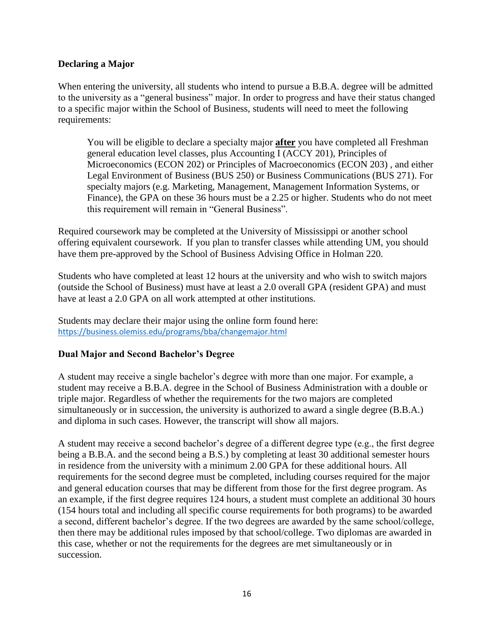#### **Declaring a Major**

When entering the university, all students who intend to pursue a B.B.A. degree will be admitted to the university as a "general business" major. In order to progress and have their status changed to a specific major within the School of Business, students will need to meet the following requirements:

You will be eligible to declare a specialty major **after** you have completed all Freshman general education level classes, plus Accounting I (ACCY 201), Principles of Microeconomics (ECON 202) or Principles of Macroeconomics (ECON 203) , and either Legal Environment of Business (BUS 250) or Business Communications (BUS 271). For specialty majors (e.g. Marketing, Management, Management Information Systems, or Finance), the GPA on these 36 hours must be a 2.25 or higher. Students who do not meet this requirement will remain in "General Business".

Required coursework may be completed at the University of Mississippi or another school offering equivalent coursework. If you plan to transfer classes while attending UM, you should have them pre-approved by the School of Business Advising Office in Holman 220.

Students who have completed at least 12 hours at the university and who wish to switch majors (outside the School of Business) must have at least a 2.0 overall GPA (resident GPA) and must have at least a 2.0 GPA on all work attempted at other institutions.

Students may declare their major using the online form found here: <https://business.olemiss.edu/programs/bba/changemajor.html>

#### **Dual Major and Second Bachelor's Degree**

A student may receive a single bachelor's degree with more than one major. For example, a student may receive a B.B.A. degree in the School of Business Administration with a double or triple major. Regardless of whether the requirements for the two majors are completed simultaneously or in succession, the university is authorized to award a single degree (B.B.A.) and diploma in such cases. However, the transcript will show all majors.

A student may receive a second bachelor's degree of a different degree type (e.g., the first degree being a B.B.A. and the second being a B.S.) by completing at least 30 additional semester hours in residence from the university with a minimum 2.00 GPA for these additional hours. All requirements for the second degree must be completed, including courses required for the major and general education courses that may be different from those for the first degree program. As an example, if the first degree requires 124 hours, a student must complete an additional 30 hours (154 hours total and including all specific course requirements for both programs) to be awarded a second, different bachelor's degree. If the two degrees are awarded by the same school/college, then there may be additional rules imposed by that school/college. Two diplomas are awarded in this case, whether or not the requirements for the degrees are met simultaneously or in succession.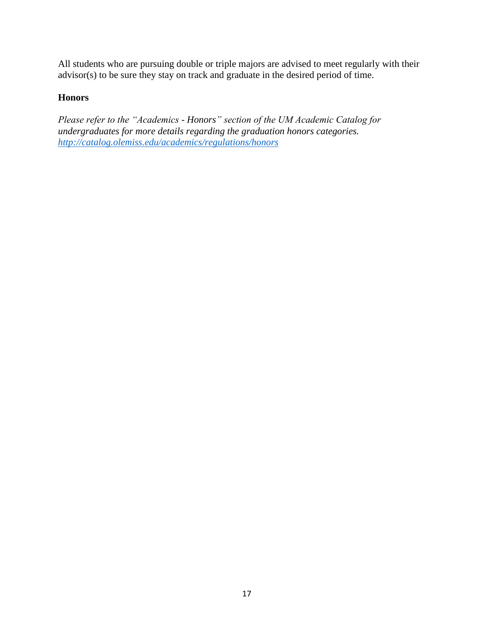All students who are pursuing double or triple majors are advised to meet regularly with their advisor(s) to be sure they stay on track and graduate in the desired period of time.

#### **Honors**

*Please refer to the "Academics - Honors" section of the UM Academic Catalog for undergraduates for more details regarding the graduation honors categories. <http://catalog.olemiss.edu/academics/regulations/honors>*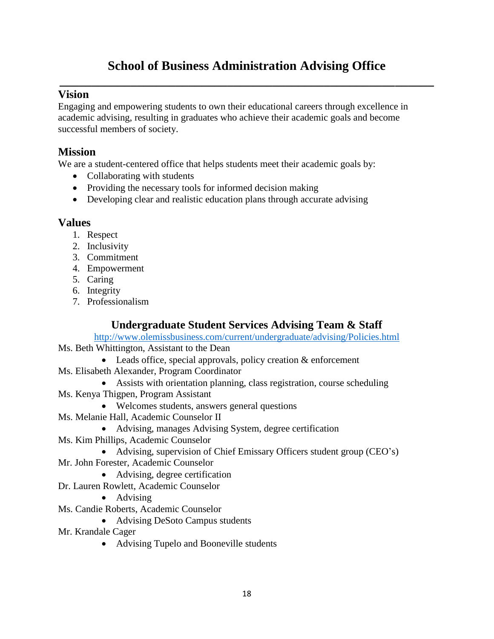## **School of Business Administration Advising Office \_\_\_\_\_\_\_\_\_\_\_\_\_\_\_\_\_\_\_\_\_\_\_\_\_\_\_\_\_\_\_\_\_\_\_\_\_\_\_\_\_\_\_\_\_\_\_\_\_\_\_\_\_\_\_\_\_\_**

## **Vision**

Engaging and empowering students to own their educational careers through excellence in academic advising, resulting in graduates who achieve their academic goals and become successful members of society.

## **Mission**

We are a student-centered office that helps students meet their academic goals by:

- Collaborating with students
- Providing the necessary tools for informed decision making
- Developing clear and realistic education plans through accurate advising

#### **Values**

- 1. Respect
- 2. Inclusivity
- 3. Commitment
- 4. Empowerment
- 5. Caring
- 6. Integrity
- 7. Professionalism

## **Undergraduate Student Services Advising Team & Staff**

<http://www.olemissbusiness.com/current/undergraduate/advising/Policies.html>

- Ms. Beth Whittington, Assistant to the Dean
	- Leads office, special approvals, policy creation & enforcement
- Ms. Elisabeth Alexander, Program Coordinator
	- Assists with orientation planning, class registration, course scheduling
- Ms. Kenya Thigpen, Program Assistant
	- Welcomes students, answers general questions
- Ms. Melanie Hall, Academic Counselor II
	- Advising, manages Advising System, degree certification
- Ms. Kim Phillips, Academic Counselor
	- Advising, supervision of Chief Emissary Officers student group (CEO's)
- Mr. John Forester, Academic Counselor
	- Advising, degree certification
- Dr. Lauren Rowlett, Academic Counselor
	- Advising
- Ms. Candie Roberts, Academic Counselor
	- Advising DeSoto Campus students
- Mr. Krandale Cager
	- Advising Tupelo and Booneville students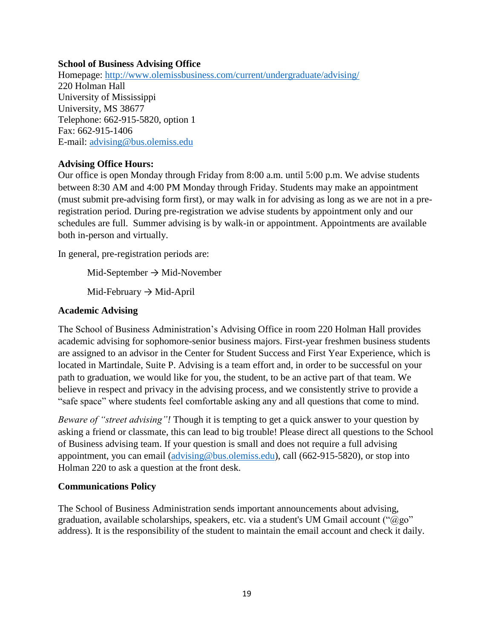#### **School of Business Advising Office**

Homepage:<http://www.olemissbusiness.com/current/undergraduate/advising/> 220 Holman Hall University of Mississippi University, MS 38677 Telephone: 662-915-5820, option 1 Fax: 662-915-1406 E-mail: [advising@bus.olemiss.edu](mailto:advising@bus.olemiss.edu)

#### **Advising Office Hours:**

Our office is open Monday through Friday from 8:00 a.m. until 5:00 p.m. We advise students between 8:30 AM and 4:00 PM Monday through Friday. Students may make an appointment (must submit pre-advising form first), or may walk in for advising as long as we are not in a preregistration period. During pre-registration we advise students by appointment only and our schedules are full. Summer advising is by walk-in or appointment. Appointments are available both in-person and virtually.

In general, pre-registration periods are:

Mid-September  $\rightarrow$  Mid-November

Mid-February  $\rightarrow$  Mid-April

#### **Academic Advising**

The School of Business Administration's Advising Office in room 220 Holman Hall provides academic advising for sophomore-senior business majors. First-year freshmen business students are assigned to an advisor in the Center for Student Success and First Year Experience, which is located in Martindale, Suite P. Advising is a team effort and, in order to be successful on your path to graduation, we would like for you, the student, to be an active part of that team. We believe in respect and privacy in the advising process, and we consistently strive to provide a "safe space" where students feel comfortable asking any and all questions that come to mind.

*Beware of "street advising"!* Though it is tempting to get a quick answer to your question by asking a friend or classmate, this can lead to big trouble! Please direct all questions to the School of Business advising team. If your question is small and does not require a full advising appointment, you can email [\(advising@bus.olemiss.edu\)](mailto:advising@bus.olemiss.edu), call (662-915-5820), or stop into Holman 220 to ask a question at the front desk.

#### **Communications Policy**

The School of Business Administration sends important announcements about advising, graduation, available scholarships, speakers, etc. via a student's UM Gmail account (" $@g\circ"$ address). It is the responsibility of the student to maintain the email account and check it daily.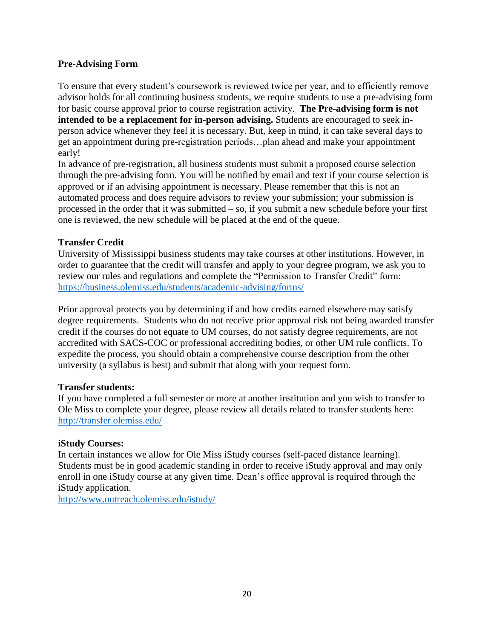#### **Pre-Advising Form**

To ensure that every student's coursework is reviewed twice per year, and to efficiently remove advisor holds for all continuing business students, we require students to use a pre-advising form for basic course approval prior to course registration activity. **The Pre-advising form is not intended to be a replacement for in-person advising.** Students are encouraged to seek inperson advice whenever they feel it is necessary. But, keep in mind, it can take several days to get an appointment during pre-registration periods…plan ahead and make your appointment early!

In advance of pre-registration, all business students must submit a proposed course selection through the pre-advising form. You will be notified by email and text if your course selection is approved or if an advising appointment is necessary. Please remember that this is not an automated process and does require advisors to review your submission; your submission is processed in the order that it was submitted – so, if you submit a new schedule before your first one is reviewed, the new schedule will be placed at the end of the queue.

#### **Transfer Credit**

University of Mississippi business students may take courses at other institutions. However, in order to guarantee that the credit will transfer and apply to your degree program, we ask you to review our rules and regulations and complete the "Permission to Transfer Credit" form: <https://business.olemiss.edu/students/academic-advising/forms/>

Prior approval protects you by determining if and how credits earned elsewhere may satisfy degree requirements. Students who do not receive prior approval risk not being awarded transfer credit if the courses do not equate to UM courses, do not satisfy degree requirements, are not accredited with SACS-COC or professional accrediting bodies, or other UM rule conflicts. To expedite the process, you should obtain a comprehensive course description from the other university (a syllabus is best) and submit that along with your request form.

#### **Transfer students:**

If you have completed a full semester or more at another institution and you wish to transfer to Ole Miss to complete your degree, please review all details related to transfer students here: <http://transfer.olemiss.edu/>

#### **iStudy Courses:**

In certain instances we allow for Ole Miss iStudy courses (self-paced distance learning). Students must be in good academic standing in order to receive iStudy approval and may only enroll in one iStudy course at any given time. Dean's office approval is required through the iStudy application.

<http://www.outreach.olemiss.edu/istudy/>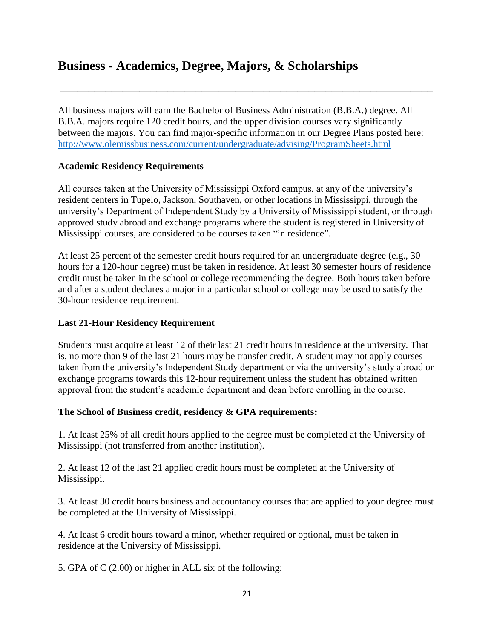## **Business - Academics, Degree, Majors, & Scholarships**

All business majors will earn the Bachelor of Business Administration (B.B.A.) degree. All B.B.A. majors require 120 credit hours, and the upper division courses vary significantly between the majors. You can find major-specific information in our Degree Plans posted here: <http://www.olemissbusiness.com/current/undergraduate/advising/ProgramSheets.html>

**\_\_\_\_\_\_\_\_\_\_\_\_\_\_\_\_\_\_\_\_\_\_\_\_\_\_\_\_\_\_\_\_\_\_\_\_\_\_\_\_\_\_\_\_\_\_\_\_\_\_\_\_\_\_\_\_\_\_\_\_\_\_\_\_\_\_**

#### **Academic Residency Requirements**

All courses taken at the University of Mississippi Oxford campus, at any of the university's resident centers in Tupelo, Jackson, Southaven, or other locations in Mississippi, through the university's Department of Independent Study by a University of Mississippi student, or through approved study abroad and exchange programs where the student is registered in University of Mississippi courses, are considered to be courses taken "in residence".

At least 25 percent of the semester credit hours required for an undergraduate degree (e.g., 30 hours for a 120-hour degree) must be taken in residence. At least 30 semester hours of residence credit must be taken in the school or college recommending the degree. Both hours taken before and after a student declares a major in a particular school or college may be used to satisfy the 30-hour residence requirement.

#### **Last 21-Hour Residency Requirement**

Students must acquire at least 12 of their last 21 credit hours in residence at the university. That is, no more than 9 of the last 21 hours may be transfer credit. A student may not apply courses taken from the university's Independent Study department or via the university's study abroad or exchange programs towards this 12-hour requirement unless the student has obtained written approval from the student's academic department and dean before enrolling in the course.

#### **The School of Business credit, residency & GPA requirements:**

1. At least 25% of all credit hours applied to the degree must be completed at the University of Mississippi (not transferred from another institution).

2. At least 12 of the last 21 applied credit hours must be completed at the University of Mississippi.

3. At least 30 credit hours business and accountancy courses that are applied to your degree must be completed at the University of Mississippi.

4. At least 6 credit hours toward a minor, whether required or optional, must be taken in residence at the University of Mississippi.

5. GPA of C (2.00) or higher in ALL six of the following: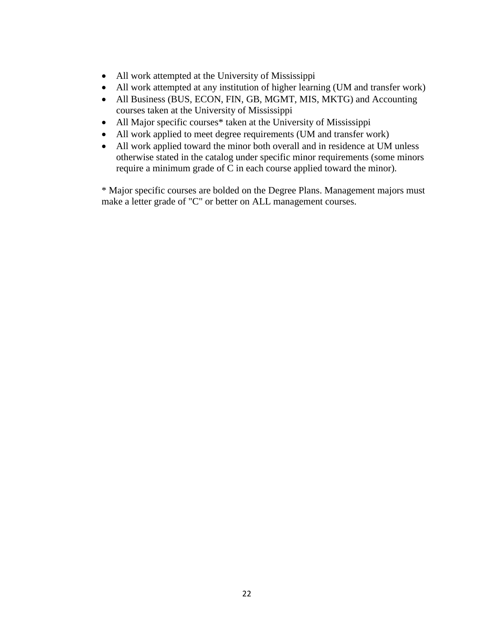- All work attempted at the University of Mississippi
- All work attempted at any institution of higher learning (UM and transfer work)
- All Business (BUS, ECON, FIN, GB, MGMT, MIS, MKTG) and Accounting courses taken at the University of Mississippi
- All Major specific courses<sup>\*</sup> taken at the University of Mississippi
- All work applied to meet degree requirements (UM and transfer work)
- All work applied toward the minor both overall and in residence at UM unless otherwise stated in the catalog under specific minor requirements (some minors require a minimum grade of C in each course applied toward the minor).

\* Major specific courses are bolded on the Degree Plans. Management majors must make a letter grade of "C" or better on ALL management courses.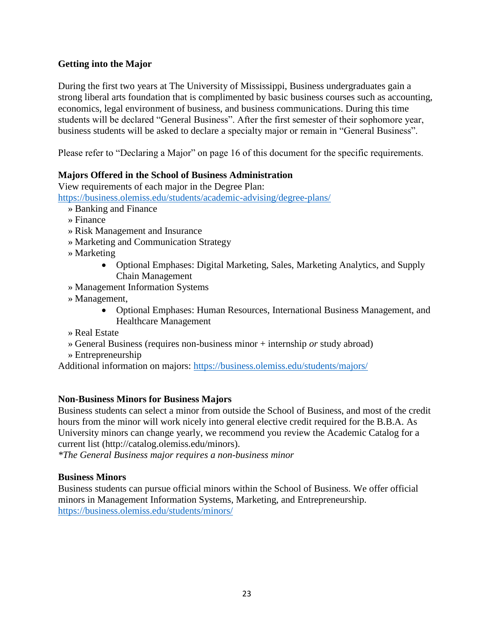#### **Getting into the Major**

During the first two years at The University of Mississippi, Business undergraduates gain a strong liberal arts foundation that is complimented by basic business courses such as accounting, economics, legal environment of business, and business communications. During this time students will be declared "General Business". After the first semester of their sophomore year, business students will be asked to declare a specialty major or remain in "General Business".

Please refer to "Declaring a Major" on page 16 of this document for the specific requirements.

#### **Majors Offered in the School of Business Administration**

View requirements of each major in the Degree Plan:

<https://business.olemiss.edu/students/academic-advising/degree-plans/>

- » Banking and Finance
- » Finance
- » Risk Management and Insurance
- » Marketing and Communication Strategy
- » Marketing
	- Optional Emphases: Digital Marketing, Sales, Marketing Analytics, and Supply Chain Management
- » Management Information Systems
- » Management,
	- Optional Emphases: Human Resources, International Business Management, and Healthcare Management
- » Real Estate
- » General Business (requires non-business minor + internship *or* study abroad)
- » Entrepreneurship

Additional information on majors:<https://business.olemiss.edu/students/majors/>

#### **Non-Business Minors for Business Majors**

Business students can select a minor from outside the School of Business, and most of the credit hours from the minor will work nicely into general elective credit required for the B.B.A. As University minors can change yearly, we recommend you review the Academic Catalog for a current list (http://catalog.olemiss.edu/minors).

*\*The General Business major requires a non-business minor*

#### **Business Minors**

Business students can pursue official minors within the School of Business. We offer official minors in Management Information Systems, Marketing, and Entrepreneurship. <https://business.olemiss.edu/students/minors/>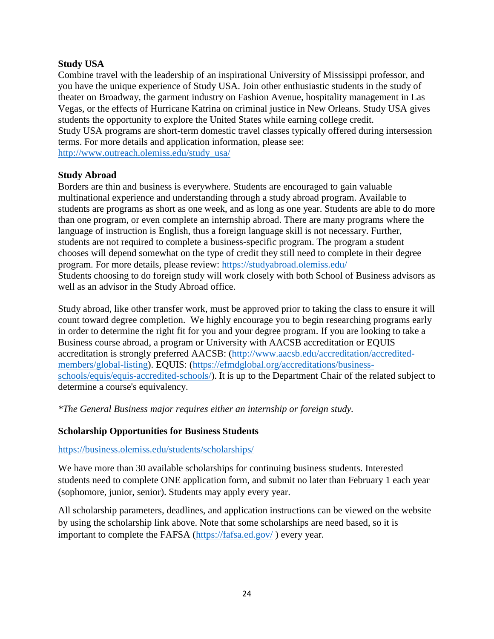#### **Study USA**

Combine travel with the leadership of an inspirational University of Mississippi professor, and you have the unique experience of Study USA. Join other enthusiastic students in the study of theater on Broadway, the garment industry on Fashion Avenue, hospitality management in Las Vegas, or the effects of Hurricane Katrina on criminal justice in New Orleans. Study USA gives students the opportunity to explore the United States while earning college credit. Study USA programs are short-term domestic travel classes typically offered during intersession terms. For more details and application information, please see: [http://www.outreach.olemiss.edu/study\\_usa/](http://www.outreach.olemiss.edu/study_usa/)

#### **Study Abroad**

Borders are thin and business is everywhere. Students are encouraged to gain valuable multinational experience and understanding through a study abroad program. Available to students are programs as short as one week, and as long as one year. Students are able to do more than one program, or even complete an internship abroad. There are many programs where the language of instruction is English, thus a foreign language skill is not necessary. Further, students are not required to complete a business-specific program. The program a student chooses will depend somewhat on the type of credit they still need to complete in their degree program. For more details, please review:<https://studyabroad.olemiss.edu/> Students choosing to do foreign study will work closely with both School of Business advisors as well as an advisor in the Study Abroad office.

Study abroad, like other transfer work, must be approved prior to taking the class to ensure it will count toward degree completion. We highly encourage you to begin researching programs early in order to determine the right fit for you and your degree program. If you are looking to take a Business course abroad, a program or University with AACSB accreditation or EQUIS accreditation is strongly preferred AACSB: [\(http://www.aacsb.edu/accreditation/accredited](http://www.aacsb.edu/accreditation/accredited-members/global-listing)[members/global-listing\)](http://www.aacsb.edu/accreditation/accredited-members/global-listing). EQUIS: [\(https://efmdglobal.org/accreditations/business](https://efmdglobal.org/accreditations/business-schools/equis/equis-accredited-schools/)[schools/equis/equis-accredited-schools/\)](https://efmdglobal.org/accreditations/business-schools/equis/equis-accredited-schools/). It is up to the Department Chair of the related subject to determine a course's equivalency.

*\*The General Business major requires either an internship or foreign study.*

#### **Scholarship Opportunities for Business Students**

#### <https://business.olemiss.edu/students/scholarships/>

We have more than 30 available scholarships for continuing business students. Interested students need to complete ONE application form, and submit no later than February 1 each year (sophomore, junior, senior). Students may apply every year.

All scholarship parameters, deadlines, and application instructions can be viewed on the website by using the scholarship link above. Note that some scholarships are need based, so it is important to complete the FAFSA [\(https://fafsa.ed.gov/](https://fafsa.ed.gov/) ) every year.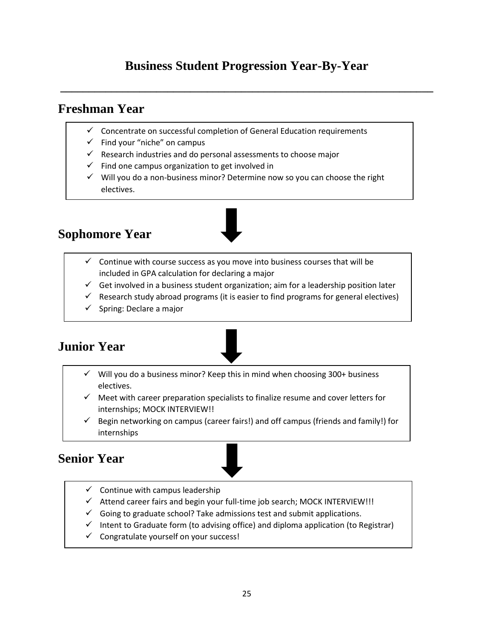## **Business Student Progression Year-By-Year**

**\_\_\_\_\_\_\_\_\_\_\_\_\_\_\_\_\_\_\_\_\_\_\_\_\_\_\_\_\_\_\_\_\_\_\_\_\_\_\_\_\_\_\_\_\_\_\_\_\_\_\_\_\_\_\_\_\_\_\_\_\_\_\_\_\_\_**

## **Freshman Year**

- ✓ Concentrate on successful completion of General Education requirements
- $\checkmark$  Find your "niche" on campus
- $\checkmark$  Research industries and do personal assessments to choose major
- $\checkmark$  Find one campus organization to get involved in
- ✓ Will you do a non-business minor? Determine now so you can choose the right electives.



## **Sophomore Year**

- $\checkmark$  Continue with course success as you move into business courses that will be included in GPA calculation for declaring a major
- $\checkmark$  Get involved in a business student organization; aim for a leadership position later
- $\checkmark$  Research study abroad programs (it is easier to find programs for general electives)
- $\checkmark$  Spring: Declare a major



- $\checkmark$  Will you do a business minor? Keep this in mind when choosing 300+ business electives.
- $\checkmark$  Meet with career preparation specialists to finalize resume and cover letters for internships; MOCK INTERVIEW!!
- Begin networking on campus (career fairs!) and off campus (friends and family!) for internships

## **Senior Year**

- $\checkmark$  Continue with campus leadership
- ✓ Attend career fairs and begin your full-time job search; MOCK INTERVIEW!!!
- $\checkmark$  Going to graduate school? Take admissions test and submit applications.
- $\checkmark$  Intent to Graduate form (to advising office) and diploma application (to Registrar)
- ✓ Congratulate yourself on your success!

 $\overline{\phantom{a}}$  Go after a leadership role in a student organization organization or  $\overline{\phantom{a}}$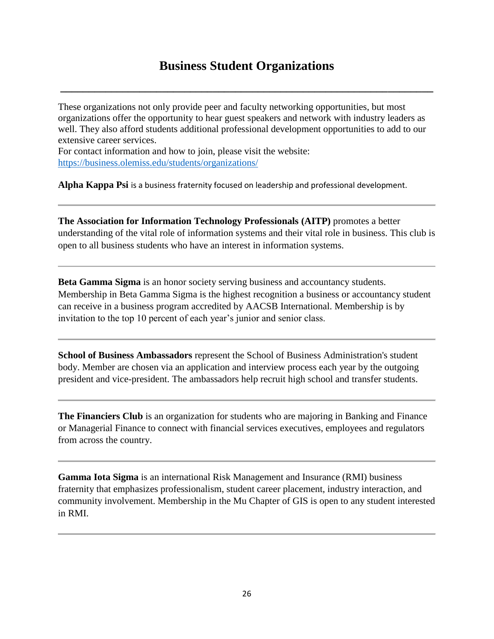## **Business Student Organizations**

**\_\_\_\_\_\_\_\_\_\_\_\_\_\_\_\_\_\_\_\_\_\_\_\_\_\_\_\_\_\_\_\_\_\_\_\_\_\_\_\_\_\_\_\_\_\_\_\_\_\_\_\_\_\_\_\_\_\_\_\_\_\_\_\_\_\_**

These organizations not only provide peer and faculty networking opportunities, but most organizations offer the opportunity to hear guest speakers and network with industry leaders as well. They also afford students additional professional development opportunities to add to our extensive career services.

For contact information and how to join, please visit the website: <https://business.olemiss.edu/students/organizations/>

**Alpha Kappa Psi** is a business fraternity focused on leadership and professional development.

**The Association for Information Technology Professionals (AITP)** promotes a better understanding of the vital role of information systems and their vital role in business. This club is open to all business students who have an interest in information systems.

**Beta Gamma Sigma** is an honor society serving business and accountancy students. Membership in Beta Gamma Sigma is the highest recognition a business or accountancy student can receive in a business program accredited by AACSB International. Membership is by invitation to the top 10 percent of each year's junior and senior class.

**School of Business Ambassadors** represent the School of Business Administration's student body. Member are chosen via an application and interview process each year by the outgoing president and vice-president. The ambassadors help recruit high school and transfer students.

**The Financiers Club** is an organization for students who are majoring in Banking and Finance or Managerial Finance to connect with financial services executives, employees and regulators from across the country.

**Gamma Iota Sigma** is an international Risk Management and Insurance (RMI) business fraternity that emphasizes professionalism, student career placement, industry interaction, and community involvement. Membership in the Mu Chapter of GIS is open to any student interested in RMI.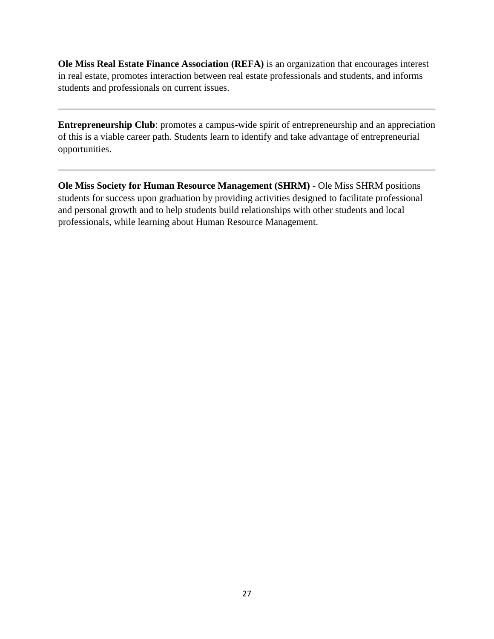**Ole Miss Real Estate Finance Association (REFA)** is an organization that encourages interest in real estate, promotes interaction between real estate professionals and students, and informs students and professionals on current issues.

**Entrepreneurship Club**: promotes a campus-wide spirit of entrepreneurship and an appreciation of this is a viable career path. Students learn to identify and take advantage of entrepreneurial opportunities.

**Ole Miss Society for Human Resource Management (SHRM)** - Ole Miss SHRM positions students for success upon graduation by providing activities designed to facilitate professional and personal growth and to help students build relationships with other students and local professionals, while learning about Human Resource Management.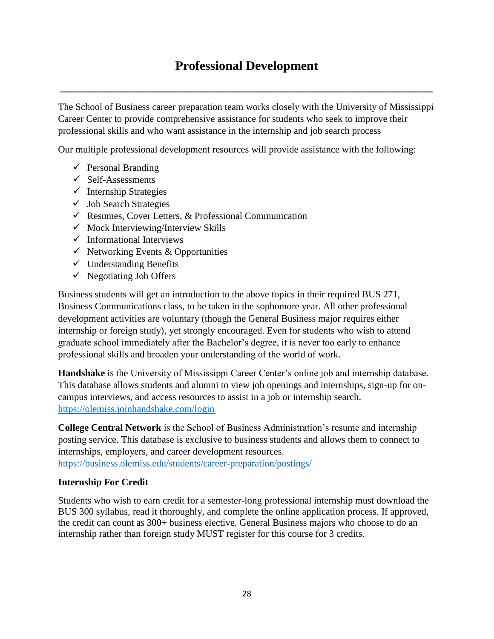## **Professional Development**

**\_\_\_\_\_\_\_\_\_\_\_\_\_\_\_\_\_\_\_\_\_\_\_\_\_\_\_\_\_\_\_\_\_\_\_\_\_\_\_\_\_\_\_\_\_\_\_\_\_\_\_\_\_\_\_\_\_\_\_\_\_\_\_\_\_\_**

The School of Business career preparation team works closely with the University of Mississippi Career Center to provide comprehensive assistance for students who seek to improve their professional skills and who want assistance in the internship and job search process

Our multiple professional development resources will provide assistance with the following:

- $\checkmark$  Personal Branding
- $\checkmark$  Self-Assessments
- $\checkmark$  Internship Strategies
- $\checkmark$  Job Search Strategies
- $\checkmark$  Resumes, Cover Letters, & Professional Communication
- $\checkmark$  Mock Interviewing/Interview Skills
- $\checkmark$  Informational Interviews
- $\checkmark$  Networking Events & Opportunities
- $\checkmark$  Understanding Benefits
- $\checkmark$  Negotiating Job Offers

Business students will get an introduction to the above topics in their required BUS 271, Business Communications class, to be taken in the sophomore year. All other professional development activities are voluntary (though the General Business major requires either internship or foreign study), yet strongly encouraged. Even for students who wish to attend graduate school immediately after the Bachelor's degree, it is never too early to enhance professional skills and broaden your understanding of the world of work.

**Handshake** is the University of Mississippi Career Center's online job and internship database. This database allows students and alumni to view job openings and internships, sign-up for oncampus interviews, and access resources to assist in a job or internship search. <https://olemiss.joinhandshake.com/login>

**College Central Network** is the School of Business Administration's resume and internship posting service. This database is exclusive to business students and allows them to connect to internships, employers, and career development resources.

<https://business.olemiss.edu/students/career-preparation/postings/>

#### **Internship For Credit**

Students who wish to earn credit for a semester-long professional internship must download the BUS 300 syllabus, read it thoroughly, and complete the online application process. If approved, the credit can count as 300+ business elective. General Business majors who choose to do an internship rather than foreign study MUST register for this course for 3 credits.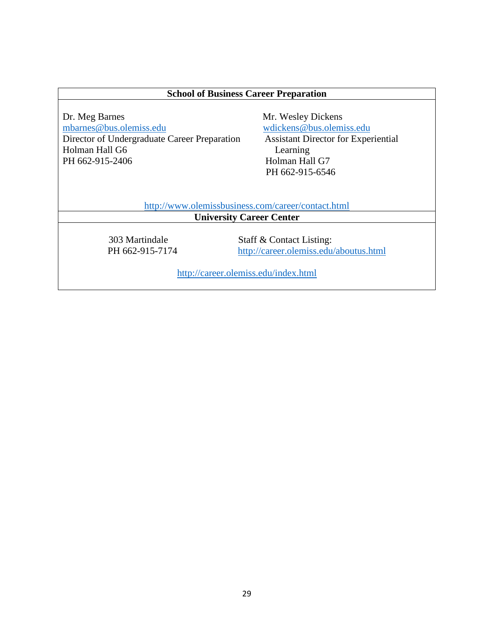#### **School of Business Career Preparation**

Dr. Meg Barnes<br>
mbarnes @bus.olemiss.edu<br>
Mr. Wesley Dickens<br>
Mr. Wesley Dickens<br>
Mr. Wesley Dickens<br>
Mr. Wesley Dickens<br>
Mr. Wesley Dickens<br>
Mr. Wesley Dickens<br>
Mr. Wesley Dickens<br>
Mr. Wesley Dickens<br>
Mr. 2014 Director of Undergraduate Career Preparation Holman Hall G6 Learning PH 662-915-2406 Holman Hall G7

[wdickens@bus.olemiss.edu](mailto:wdickens@bus.olemiss.edu)<br>Assistant Director for Experiential PH 662-915-6546

<http://www.olemissbusiness.com/career/contact.html>

**University Career Center** 

 303 Martindale Staff & Contact Listing: PH 662-915-7174 <http://career.olemiss.edu/aboutus.html>

<http://career.olemiss.edu/index.html>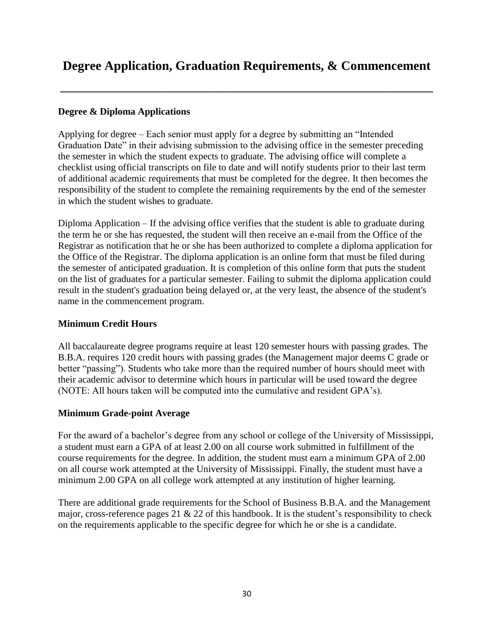## **Degree Application, Graduation Requirements, & Commencement**

**\_\_\_\_\_\_\_\_\_\_\_\_\_\_\_\_\_\_\_\_\_\_\_\_\_\_\_\_\_\_\_\_\_\_\_\_\_\_\_\_\_\_\_\_\_\_\_\_\_\_\_\_\_\_\_\_\_\_\_\_\_\_\_\_\_\_**

#### **Degree & Diploma Applications**

Applying for degree – Each senior must apply for a degree by submitting an "Intended Graduation Date" in their advising submission to the advising office in the semester preceding the semester in which the student expects to graduate. The advising office will complete a checklist using official transcripts on file to date and will notify students prior to their last term of additional academic requirements that must be completed for the degree. It then becomes the responsibility of the student to complete the remaining requirements by the end of the semester in which the student wishes to graduate.

Diploma Application – If the advising office verifies that the student is able to graduate during the term he or she has requested, the student will then receive an e-mail from the Office of the Registrar as notification that he or she has been authorized to complete a diploma application for the Office of the Registrar. The diploma application is an online form that must be filed during the semester of anticipated graduation. It is completion of this online form that puts the student on the list of graduates for a particular semester. Failing to submit the diploma application could result in the student's graduation being delayed or, at the very least, the absence of the student's name in the commencement program.

#### **Minimum Credit Hours**

All baccalaureate degree programs require at least 120 semester hours with passing grades. The B.B.A. requires 120 credit hours with passing grades (the Management major deems C grade or better "passing"). Students who take more than the required number of hours should meet with their academic advisor to determine which hours in particular will be used toward the degree (NOTE: All hours taken will be computed into the cumulative and resident GPA's).

#### **Minimum Grade-point Average**

For the award of a bachelor's degree from any school or college of the University of Mississippi, a student must earn a GPA of at least 2.00 on all course work submitted in fulfillment of the course requirements for the degree. In addition, the student must earn a minimum GPA of 2.00 on all course work attempted at the University of Mississippi. Finally, the student must have a minimum 2.00 GPA on all college work attempted at any institution of higher learning.

There are additional grade requirements for the School of Business B.B.A. and the Management major, cross-reference pages 21  $\&$  22 of this handbook. It is the student's responsibility to check on the requirements applicable to the specific degree for which he or she is a candidate.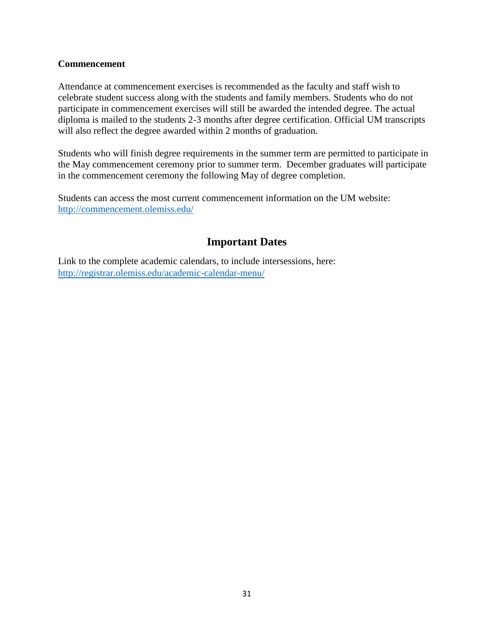#### **Commencement**

Attendance at commencement exercises is recommended as the faculty and staff wish to celebrate student success along with the students and family members. Students who do not participate in commencement exercises will still be awarded the intended degree. The actual diploma is mailed to the students 2-3 months after degree certification. Official UM transcripts will also reflect the degree awarded within 2 months of graduation.

Students who will finish degree requirements in the summer term are permitted to participate in the May commencement ceremony prior to summer term. December graduates will participate in the commencement ceremony the following May of degree completion.

Students can access the most current commencement information on the UM website: <http://commencement.olemiss.edu/>

#### **Important Dates**

Link to the complete academic calendars, to include intersessions, here: <http://registrar.olemiss.edu/academic-calendar-menu/>